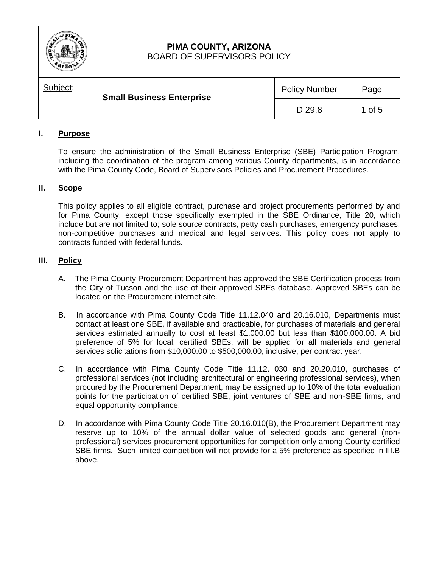

# **PIMA COUNTY, ARIZONA**

BOARD OF SUPERVISORS POLICY

| Subject: | <b>Small Business Enterprise</b> |        | Page   |
|----------|----------------------------------|--------|--------|
|          |                                  | D 29.8 | 1 of 5 |

### **I. Purpose**

To ensure the administration of the Small Business Enterprise (SBE) Participation Program, including the coordination of the program among various County departments, is in accordance with the Pima County Code, Board of Supervisors Policies and Procurement Procedures.

#### **II. Scope**

This policy applies to all eligible contract, purchase and project procurements performed by and for Pima County, except those specifically exempted in the SBE Ordinance, Title 20, which include but are not limited to; sole source contracts, petty cash purchases, emergency purchases, non-competitive purchases and medical and legal services. This policy does not apply to contracts funded with federal funds.

#### **III. Policy**

- A. The Pima County Procurement Department has approved the SBE Certification process from the City of Tucson and the use of their approved SBEs database. Approved SBEs can be located on the Procurement internet site.
- B. In accordance with Pima County Code Title 11.12.040 and 20.16.010, Departments must contact at least one SBE, if available and practicable, for purchases of materials and general services estimated annually to cost at least \$1,000.00 but less than \$100,000.00. A bid preference of 5% for local, certified SBEs, will be applied for all materials and general services solicitations from \$10,000.00 to \$500,000.00, inclusive, per contract year.
- C. In accordance with Pima County Code Title 11.12. 030 and 20.20.010, purchases of professional services (not including architectural or engineering professional services), when procured by the Procurement Department, may be assigned up to 10% of the total evaluation points for the participation of certified SBE, joint ventures of SBE and non-SBE firms, and equal opportunity compliance.
- D.In accordance with Pima County Code Title 20.16.010(B), the Procurement Department may reserve up to 10% of the annual dollar value of selected goods and general (nonprofessional) services procurement opportunities for competition only among County certified SBE firms. Such limited competition will not provide for a 5% preference as specified in III.B above.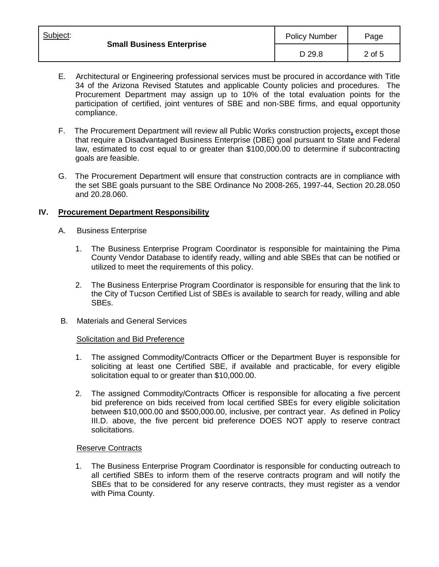| Subject:                         | <b>Policy Number</b> | Page   |
|----------------------------------|----------------------|--------|
| <b>Small Business Enterprise</b> | D 29.8               | 2 of 5 |

- E.Architectural or Engineering professional services must be procured in accordance with Title 34 of the Arizona Revised Statutes and applicable County policies and procedures. The Procurement Department may assign up to 10% of the total evaluation points for the participation of certified, joint ventures of SBE and non-SBE firms, and equal opportunity compliance.
- F.The Procurement Department will review all Public Works construction projects**,** except those that require a Disadvantaged Business Enterprise (DBE) goal pursuant to State and Federal law, estimated to cost equal to or greater than \$100,000.00 to determine if subcontracting goals are feasible.
- G. The Procurement Department will ensure that construction contracts are in compliance with the set SBE goals pursuant to the SBE Ordinance No 2008-265, 1997-44, Section 20.28.050 and 20.28.060.

#### **IV. Procurement Department Responsibility**

- A.Business Enterprise
	- 1. The Business Enterprise Program Coordinator is responsible for maintaining the Pima County Vendor Database to identify ready, willing and able SBEs that can be notified or utilized to meet the requirements of this policy.
	- 2. The Business Enterprise Program Coordinator is responsible for ensuring that the link to the City of Tucson Certified List of SBEs is available to search for ready, willing and able SBEs.
- B. Materials and General Services

#### Solicitation and Bid Preference

- 1. The assigned Commodity/Contracts Officer or the Department Buyer is responsible for soliciting at least one Certified SBE, if available and practicable, for every eligible solicitation equal to or greater than \$10,000.00.
- 2. The assigned Commodity/Contracts Officer is responsible for allocating a five percent bid preference on bids received from local certified SBEs for every eligible solicitation between \$10,000.00 and \$500,000.00, inclusive, per contract year. As defined in Policy III.D. above, the five percent bid preference DOES NOT apply to reserve contract solicitations.

#### Reserve Contracts

1. The Business Enterprise Program Coordinator is responsible for conducting outreach to all certified SBEs to inform them of the reserve contracts program and will notify the SBEs that to be considered for any reserve contracts, they must register as a vendor with Pima County.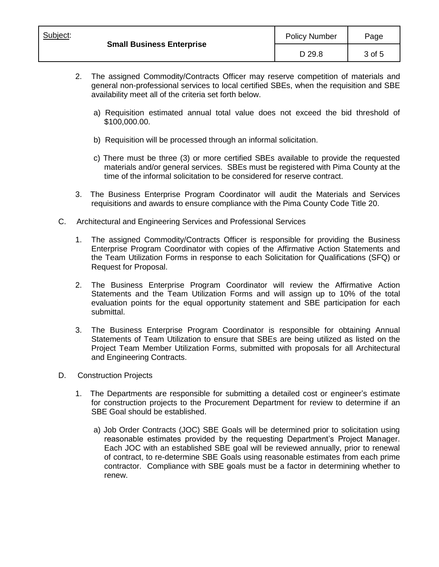| Subject:                         | <b>Policy Number</b> | Page   |
|----------------------------------|----------------------|--------|
| <b>Small Business Enterprise</b> | D 29.8               | 3 of 5 |

- 2. The assigned Commodity/Contracts Officer may reserve competition of materials and general non-professional services to local certified SBEs, when the requisition and SBE availability meet all of the criteria set forth below.
	- a) Requisition estimated annual total value does not exceed the bid threshold of \$100,000.00.
	- b) Requisition will be processed through an informal solicitation.
	- c) There must be three (3) or more certified SBEs available to provide the requested materials and/or general services. SBEs must be registered with Pima County at the time of the informal solicitation to be considered for reserve contract.
- 3. The Business Enterprise Program Coordinator will audit the Materials and Services requisitions and awards to ensure compliance with the Pima County Code Title 20.
- C. Architectural and Engineering Services and Professional Services
	- 1. The assigned Commodity/Contracts Officer is responsible for providing the Business Enterprise Program Coordinator with copies of the Affirmative Action Statements and the Team Utilization Forms in response to each Solicitation for Qualifications (SFQ) or Request for Proposal.
	- 2. The Business Enterprise Program Coordinator will review the Affirmative Action Statements and the Team Utilization Forms and will assign up to 10% of the total evaluation points for the equal opportunity statement and SBE participation for each submittal.
	- 3. The Business Enterprise Program Coordinator is responsible for obtaining Annual Statements of Team Utilization to ensure that SBEs are being utilized as listed on the Project Team Member Utilization Forms, submitted with proposals for all Architectural and Engineering Contracts.
- D. Construction Projects
	- 1. The Departments are responsible for submitting a detailed cost or engineer's estimate for construction projects to the Procurement Department for review to determine if an SBE Goal should be established.
		- a) Job Order Contracts (JOC) SBE Goals will be determined prior to solicitation using reasonable estimates provided by the requesting Department's Project Manager. Each JOC with an established SBE goal will be reviewed annually, prior to renewal of contract, to re-determine SBE Goals using reasonable estimates from each prime contractor. Compliance with SBE goals must be a factor in determining whether to renew.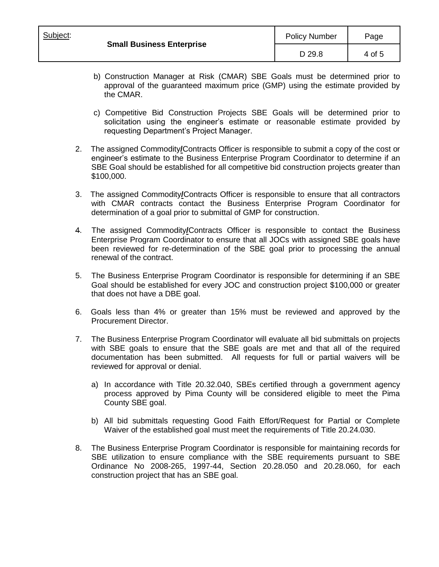- b) Construction Manager at Risk (CMAR) SBE Goals must be determined prior to approval of the guaranteed maximum price (GMP) using the estimate provided by the CMAR.
- c) Competitive Bid Construction Projects SBE Goals will be determined prior to solicitation using the engineer's estimate or reasonable estimate provided by requesting Department's Project Manager.
- 2. The assigned Commodity**/**Contracts Officer is responsible to submit a copy of the cost or engineer's estimate to the Business Enterprise Program Coordinator to determine if an SBE Goal should be established for all competitive bid construction projects greater than \$100,000.
- 3. The assigned Commodity**/**Contracts Officer is responsible to ensure that all contractors with CMAR contracts contact the Business Enterprise Program Coordinator for determination of a goal prior to submittal of GMP for construction.
- 4. The assigned Commodity**/**Contracts Officer is responsible to contact the Business Enterprise Program Coordinator to ensure that all JOCs with assigned SBE goals have been reviewed for re-determination of the SBE goal prior to processing the annual renewal of the contract.
- 5. The Business Enterprise Program Coordinator is responsible for determining if an SBE Goal should be established for every JOC and construction project \$100,000 or greater that does not have a DBE goal.
- 6. Goals less than 4% or greater than 15% must be reviewed and approved by the Procurement Director.
- 7. The Business Enterprise Program Coordinator will evaluate all bid submittals on projects with SBE goals to ensure that the SBE goals are met and that all of the required documentation has been submitted. All requests for full or partial waivers will be reviewed for approval or denial.
	- a) In accordance with Title 20.32.040, SBEs certified through a government agency process approved by Pima County will be considered eligible to meet the Pima County SBE goal.
	- b) All bid submittals requesting Good Faith Effort/Request for Partial or Complete Waiver of the established goal must meet the requirements of Title 20.24.030.
- 8. The Business Enterprise Program Coordinator is responsible for maintaining records for SBE utilization to ensure compliance with the SBE requirements pursuant to SBE Ordinance No 2008-265, 1997-44, Section 20.28.050 and 20.28.060, for each construction project that has an SBE goal.